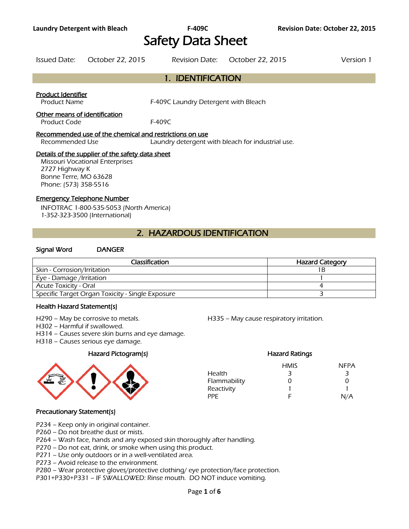# Safety Data Sheet

| Issued Date: | October 22, 2015 | Revision Date: October 22, 2015 | Version 1 |
|--------------|------------------|---------------------------------|-----------|
|              |                  |                                 |           |

# 1. IDENTIFICATION

#### Product Identifier

Product Name **F-409C Laundry Detergent with Bleach** 

#### Other means of identification

Product Code F-409C

#### Recommended use of the chemical and restrictions on use

Recommended Use Laundry detergent with bleach for industrial use.

## Details of the supplier of the safety data sheet

Missouri Vocational Enterprises 2727 Highway K Bonne Terre, MO 63628 Phone: (573) 358-5516

#### Emergency Telephone Number

INFOTRAC 1-800-535-5053 (North America) 1-352-323-3500 (International)

# 2. HAZARDOUS IDENTIFICATION

#### Signal Word DANGER

| Classification                                   | <b>Hazard Category</b> |
|--------------------------------------------------|------------------------|
| Skin - Corrosion/Irritation                      |                        |
| Eye - Damage /Irritation                         |                        |
| Acute Toxicity - Oral                            |                        |
| Specific Target Organ Toxicity - Single Exposure |                        |
|                                                  |                        |

#### Health Hazard Statement(s)

H290 – May be corrosive to metals. H335 – May cause respiratory irritation.

H302 – Harmful if swallowed.

H314 – Causes severe skin burns and eye damage.

H318 – Causes serious eye damage.

# Hazard Pictogram(s) Hazard Ratings



# HMIS NFPA Health 3 3 3 Flammability 0 0 0 Reactivity 1 1 PPE F N/A

# Precautionary Statement(s)

- P234 Keep only in original container.
- P260 Do not breathe dust or mists.
- P264 Wash face, hands and any exposed skin thoroughly after handling.
- P270 Do not eat, drink, or smoke when using this product.
- P271 Use only outdoors or in a well-ventilated area.
- P273 Avoid release to the environment.
- P280 Wear protective gloves/protective clothing/ eye protection/face protection.
- P301+P330+P331 IF SWALLOWED: Rinse mouth. DO NOT induce vomiting.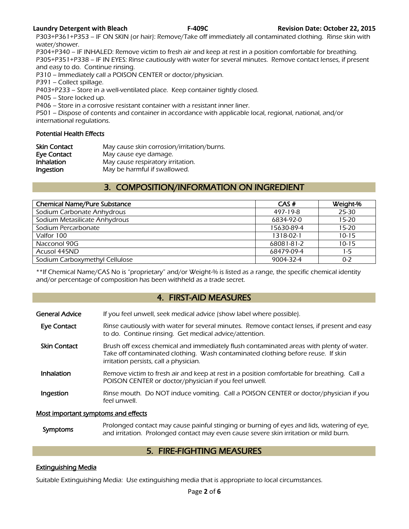P303+P361+P353 – IF ON SKIN (or hair): Remove/Take off immediately all contaminated clothing. Rinse skin with water/shower.

P304+P340 – IF INHALED: Remove victim to fresh air and keep at rest in a position comfortable for breathing. P305+P351+P338 – IF IN EYES: Rinse cautiously with water for several minutes. Remove contact lenses, if present and easy to do. Continue rinsing.

P310 – Immediately call a POISON CENTER or doctor/physician.

P391 – Collect spillage.

P403+P233 – Store in a well-ventilated place. Keep container tightly closed.

P405 – Store locked up.

P406 – Store in a corrosive resistant container with a resistant inner liner.

P501 – Dispose of contents and container in accordance with applicable local, regional, national, and/or international regulations.

## Potential Health Effects

| <b>Skin Contact</b> | May cause skin corrosion/irritation/burns. |
|---------------------|--------------------------------------------|
| Eye Contact         | May cause eye damage.                      |
| Inhalation          | May cause respiratory irritation.          |
| Ingestion           | May be harmful if swallowed.               |

# 3. COMPOSITION/INFORMATION ON INGREDIENT

| <b>Chemical Name/Pure Substance</b> | CAS#       | Weight-%  |
|-------------------------------------|------------|-----------|
| Sodium Carbonate Anhydrous          | 497-19-8   | 25-30     |
| Sodium Metasilicate Anhydrous       | 6834-92-0  | $15 - 20$ |
| Sodium Percarbonate                 | 15630-89-4 | $15 - 20$ |
| Valfor 100                          | 1318-02-1  | $10 - 15$ |
| Nacconol 90G                        | 68081-81-2 | $10 - 15$ |
| Acusol 445ND                        | 68479-09-4 | 1-5       |
| Sodium Carboxymethyl Cellulose      | 9004-32-4  | $0 - 2$   |
|                                     |            |           |

\*\*If Chemical Name/CAS No is "proprietary" and/or Weight-% is listed as a range, the specific chemical identity and/or percentage of composition has been withheld as a trade secret.

# 4. FIRST-AID MEASURES

| <b>General Advice</b>               | If you feel unwell, seek medical advice (show label where possible).                                                                                                                                                   |
|-------------------------------------|------------------------------------------------------------------------------------------------------------------------------------------------------------------------------------------------------------------------|
| <b>Eye Contact</b>                  | Rinse cautiously with water for several minutes. Remove contact lenses, if present and easy<br>to do. Continue rinsing. Get medical advice/attention.                                                                  |
| <b>Skin Contact</b>                 | Brush off excess chemical and immediately flush contaminated areas with plenty of water.<br>Take off contaminated clothing. Wash contaminated clothing before reuse. If skin<br>irritation persists, call a physician. |
| <b>Inhalation</b>                   | Remove victim to fresh air and keep at rest in a position comfortable for breathing. Call a<br>POISON CENTER or doctor/physician if you feel unwell.                                                                   |
| Ingestion                           | Rinse mouth. Do NOT induce vomiting. Call a POISON CENTER or doctor/physician if you<br>feel unwell.                                                                                                                   |
| Most important symptoms and effects |                                                                                                                                                                                                                        |

### Symptoms Prolonged contact may cause painful stinging or burning of eyes and lids, watering of eye,<br>and irritation. Prolonged contact may over saves severe skip irritation or mild burn and irritation. Prolonged contact may even cause severe skin irritation or mild burn.

# 5. FIRE-FIGHTING MEASURES

# Extinguishing Media

Suitable Extinguishing Media: Use extinguishing media that is appropriate to local circumstances.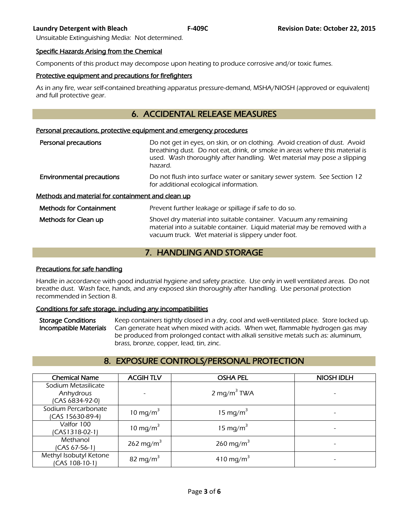Unsuitable Extinguishing Media: Not determined.

#### Specific Hazards Arising from the Chemical

Components of this product may decompose upon heating to produce corrosive and/or toxic fumes.

### Protective equipment and precautions for firefighters

As in any fire, wear self-contained breathing apparatus pressure-demand, MSHA/NIOSH (approved or equivalent) and full protective gear.

# 6. ACCIDENTAL RELEASE MEASURES

#### Personal precautions, protective equipment and emergency procedures

| Personal precautions                              | Do not get in eyes, on skin, or on clothing. Avoid creation of dust. Avoid<br>breathing dust. Do not eat, drink, or smoke in areas where this material is<br>used. Wash thoroughly after handling. Wet material may pose a slipping<br>hazard. |
|---------------------------------------------------|------------------------------------------------------------------------------------------------------------------------------------------------------------------------------------------------------------------------------------------------|
| <b>Environmental precautions</b>                  | Do not flush into surface water or sanitary sewer system. See Section 12<br>for additional ecological information.                                                                                                                             |
| Methods and material for containment and clean up |                                                                                                                                                                                                                                                |
| <b>Methods for Containment</b>                    | Prevent further leakage or spillage if safe to do so.                                                                                                                                                                                          |
| Methods for Clean up                              | Shovel dry material into suitable container. Vacuum any remaining<br>material into a suitable container. Liquid material may be removed with a                                                                                                 |

# 7. HANDLING AND STORAGE

vacuum truck. Wet material is slippery under foot.

#### Precautions for safe handling

Handle in accordance with good industrial hygiene and safety practice. Use only in well ventilated areas. Do not breathe dust. Wash face, hands, and any exposed skin thoroughly after handling. Use personal protection recommended in Section 8.

# Conditions for safe storage, including any incompatibilities

Storage Conditions Keep containers tightly closed in a dry, cool and well-ventilated place. Store locked up. Incompatible Materials Can generate heat when mixed with acids. When wet, flammable hydrogen gas may be produced from prolonged contact with alkali sensitive metals such as: aluminum, brass, bronze, copper, lead, tin, zinc.

# 8. EXPOSURE CONTROLS/PERSONAL PROTECTION

| <b>Chemical Name</b>   | <b>ACGIHTLV</b>          | <b>OSHA PEL</b>         | <b>NIOSH IDLH</b> |
|------------------------|--------------------------|-------------------------|-------------------|
| Sodium Metasilicate    |                          |                         |                   |
| Anhydrous              | $\overline{\phantom{a}}$ | 2 mg/m <sup>3</sup> TWA |                   |
| (CAS 6834-92-0)        |                          |                         |                   |
| Sodium Percarbonate    | 10 mg/m <sup>3</sup>     | 15 mg/m <sup>3</sup>    |                   |
| (CAS 15630-89-4)       |                          |                         |                   |
| Valfor 100             | 10 mg/m <sup>3</sup>     | 15 mg/m <sup>3</sup>    |                   |
| $(CAS1318-02-1)$       |                          |                         |                   |
| Methanol               | 262 mg/m <sup>3</sup>    | 260 mg/m <sup>3</sup>   |                   |
| (CAS 67-56-1)          |                          |                         |                   |
| Methyl Isobutyl Ketone | 82 mg/m <sup>3</sup>     | 410 mg/m <sup>3</sup>   |                   |
| (CAS 108-10-1)         |                          |                         |                   |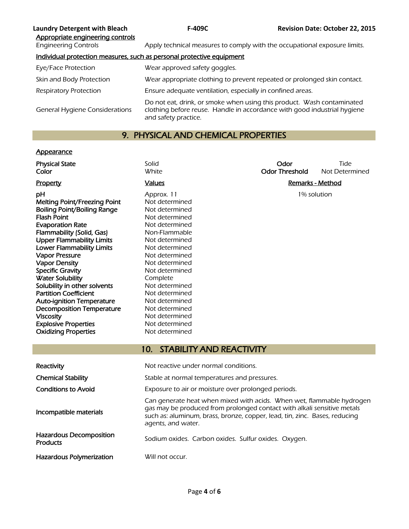| <b>Laundry Detergent with Bleach</b><br>Appropriate engineering controls | <b>F-409C</b>                                                                                                                                                              | <b>Revision Date: October 22, 2015</b> |
|--------------------------------------------------------------------------|----------------------------------------------------------------------------------------------------------------------------------------------------------------------------|----------------------------------------|
| <b>Engineering Controls</b>                                              | Apply technical measures to comply with the occupational exposure limits.                                                                                                  |                                        |
|                                                                          | Individual protection measures, such as personal protective equipment                                                                                                      |                                        |
| Eye/Face Protection                                                      | Wear approved safety goggles.                                                                                                                                              |                                        |
| Skin and Body Protection                                                 | Wear appropriate clothing to prevent repeated or prolonged skin contact.                                                                                                   |                                        |
| Respiratory Protection                                                   | Ensure adequate ventilation, especially in confined areas.                                                                                                                 |                                        |
| <b>General Hygiene Considerations</b>                                    | Do not eat, drink, or smoke when using this product. Wash contaminated<br>clothing before reuse. Handle in accordance with good industrial hygiene<br>and safety practice. |                                        |

# 9. PHYSICAL AND CHEMICAL PROPERTIES

# **Appearance**

| <b>Physical State</b>                                | Solid                                                                                                                                                                                                                                                | Odor                    | Tide           |
|------------------------------------------------------|------------------------------------------------------------------------------------------------------------------------------------------------------------------------------------------------------------------------------------------------------|-------------------------|----------------|
| Color                                                | White                                                                                                                                                                                                                                                | <b>Odor Threshold</b>   | Not Determined |
| Property                                             | <b>Values</b>                                                                                                                                                                                                                                        | <b>Remarks - Method</b> |                |
| рH                                                   | Approx. 11                                                                                                                                                                                                                                           | 1% solution             |                |
| Melting Point/Freezing Point                         | Not determined                                                                                                                                                                                                                                       |                         |                |
| <b>Boiling Point/Boiling Range</b>                   | Not determined                                                                                                                                                                                                                                       |                         |                |
| <b>Flash Point</b>                                   | Not determined                                                                                                                                                                                                                                       |                         |                |
| <b>Evaporation Rate</b>                              | Not determined                                                                                                                                                                                                                                       |                         |                |
| Flammability (Solid, Gas)                            | Non-Flammable                                                                                                                                                                                                                                        |                         |                |
| <b>Upper Flammability Limits</b>                     | Not determined                                                                                                                                                                                                                                       |                         |                |
| <b>Lower Flammability Limits</b>                     | Not determined                                                                                                                                                                                                                                       |                         |                |
| <b>Vapor Pressure</b>                                | Not determined                                                                                                                                                                                                                                       |                         |                |
| <b>Vapor Density</b>                                 | Not determined                                                                                                                                                                                                                                       |                         |                |
| <b>Specific Gravity</b>                              | Not determined                                                                                                                                                                                                                                       |                         |                |
| <b>Water Solubility</b>                              | Complete                                                                                                                                                                                                                                             |                         |                |
| Solubility in other solvents                         | Not determined                                                                                                                                                                                                                                       |                         |                |
| <b>Partition Coefficient</b>                         | Not determined                                                                                                                                                                                                                                       |                         |                |
| <b>Auto-ignition Temperature</b>                     | Not determined                                                                                                                                                                                                                                       |                         |                |
| <b>Decomposition Temperature</b><br><b>Viscosity</b> | Not determined<br>Not determined                                                                                                                                                                                                                     |                         |                |
| <b>Explosive Properties</b>                          | Not determined                                                                                                                                                                                                                                       |                         |                |
| <b>Oxidizing Properties</b>                          | Not determined                                                                                                                                                                                                                                       |                         |                |
|                                                      |                                                                                                                                                                                                                                                      |                         |                |
|                                                      | <b>STABILITY AND REACTIVITY</b><br>10 <sub>1</sub>                                                                                                                                                                                                   |                         |                |
| Reactivity                                           | Not reactive under normal conditions.                                                                                                                                                                                                                |                         |                |
|                                                      |                                                                                                                                                                                                                                                      |                         |                |
| <b>Chemical Stability</b>                            | Stable at normal temperatures and pressures.                                                                                                                                                                                                         |                         |                |
| <b>Conditions to Avoid</b>                           | Exposure to air or moisture over prolonged periods.                                                                                                                                                                                                  |                         |                |
| Incompatible materials                               | Can generate heat when mixed with acids. When wet, flammable hydrogen<br>gas may be produced from prolonged contact with alkali sensitive metals<br>such as: aluminum, brass, bronze, copper, lead, tin, zinc. Bases, reducing<br>agents, and water. |                         |                |
| <b>Hazardous Decomposition</b><br><b>Products</b>    | Sodium oxides. Carbon oxides. Sulfur oxides. Oxygen.                                                                                                                                                                                                 |                         |                |
| Hazardous Polymerization                             | Will not occur.                                                                                                                                                                                                                                      |                         |                |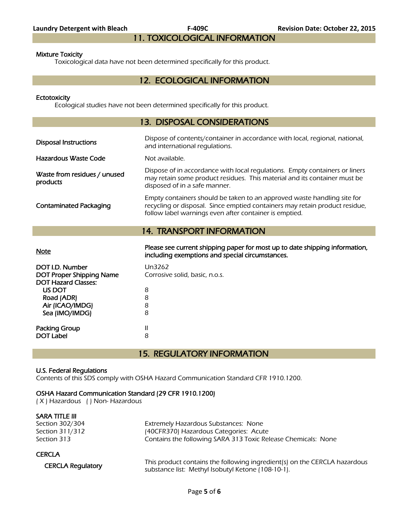# 11. TOXICOLOGICAL INFORMATION

#### Mixture Toxicity

Toxicological data have not been determined specifically for this product.

# 12. ECOLOGICAL INFORMATION

#### **Ectotoxicity**

Ecological studies have not been determined specifically for this product.

# 13. DISPOSAL CONSIDERATIONS

| <b>Disposal Instructions</b>             | Dispose of contents/container in accordance with local, regional, national,<br>and international regulations.                                                                                                    |
|------------------------------------------|------------------------------------------------------------------------------------------------------------------------------------------------------------------------------------------------------------------|
| Hazardous Waste Code                     | Not available.                                                                                                                                                                                                   |
| Waste from residues / unused<br>products | Dispose of in accordance with local regulations. Empty containers or liners<br>may retain some product residues. This material and its container must be<br>disposed of in a safe manner.                        |
| <b>Contaminated Packaging</b>            | Empty containers should be taken to an approved waste handling site for<br>recycling or disposal. Since emptied containers may retain product residue,<br>follow label warnings even after container is emptied. |
|                                          | <b>14. TRANSPORT INFORMATION</b>                                                                                                                                                                                 |
|                                          |                                                                                                                                                                                                                  |

Please see current shipping paper for most up to date shipping information,<br>Note including exemptions and special circumstances.

| DOT I.D. Number                 | Un3262                         |
|---------------------------------|--------------------------------|
| <b>DOT Proper Shipping Name</b> | Corrosive solid, basic, n.o.s. |
| <b>DOT Hazard Classes:</b>      |                                |
| US DOT                          | 8                              |
| Road (ADR)                      | 8                              |
| Air (ICAO/IMDG)                 | 8                              |
| Sea (IMO/IMDG)                  | 8                              |
|                                 |                                |
| <b>Packing Group</b>            |                                |
| <b>DOT Label</b>                | 8                              |
|                                 |                                |

15. REGULATORY INFORMATION

# U.S. Federal Regulations

Contents of this SDS comply with OSHA Hazard Communication Standard CFR 1910.1200.

# OSHA Hazard Communication Standard (29 CFR 1910.1200)

( X ) Hazardous ( ) Non- Hazardous

| SARA TITLE III           |                                                                           |
|--------------------------|---------------------------------------------------------------------------|
| Section 302/304          | Extremely Hazardous Substances: None                                      |
| Section 311/312          | (40CFR370) Hazardous Categories: Acute                                    |
| Section 313              | Contains the following SARA 313 Toxic Release Chemicals: None             |
| <b>CERCLA</b>            |                                                                           |
| <b>CERCLA Regulatory</b> | This product contains the following ingredient(s) on the CERCLA hazardous |
|                          | substance list: Methyl Isobutyl Ketone (108-10-1).                        |